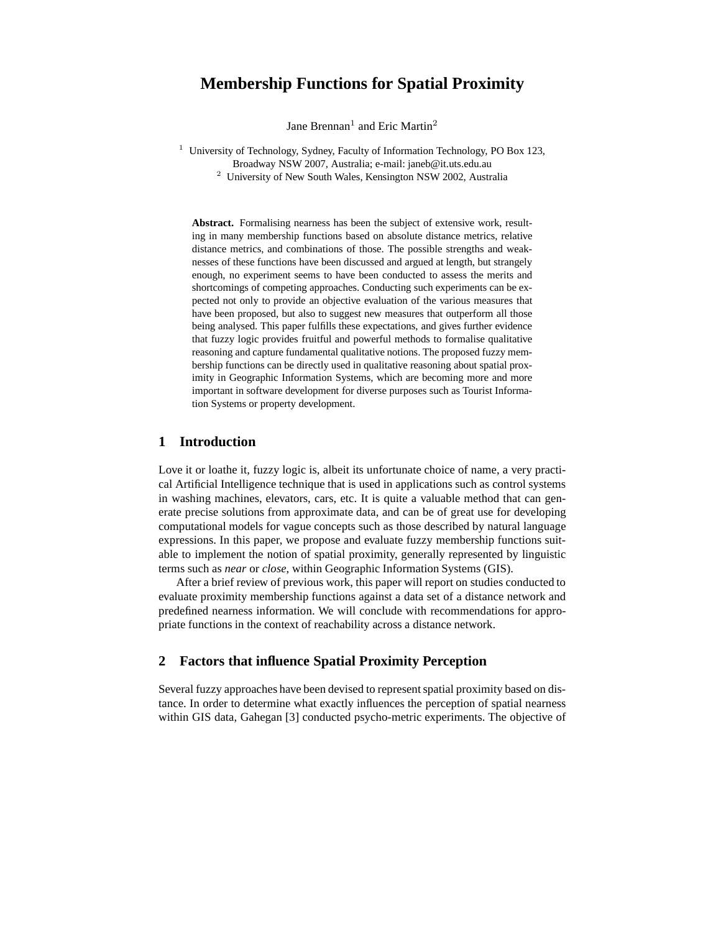# **Membership Functions for Spatial Proximity**

Jane Brennan<sup>1</sup> and Eric Martin<sup>2</sup>

<sup>1</sup> University of Technology, Sydney, Faculty of Information Technology, PO Box 123, Broadway NSW 2007, Australia; e-mail: janeb@it.uts.edu.au

<sup>2</sup> University of New South Wales, Kensington NSW 2002, Australia

**Abstract.** Formalising nearness has been the subject of extensive work, resulting in many membership functions based on absolute distance metrics, relative distance metrics, and combinations of those. The possible strengths and weaknesses of these functions have been discussed and argued at length, but strangely enough, no experiment seems to have been conducted to assess the merits and shortcomings of competing approaches. Conducting such experiments can be expected not only to provide an objective evaluation of the various measures that have been proposed, but also to suggest new measures that outperform all those being analysed. This paper fulfills these expectations, and gives further evidence that fuzzy logic provides fruitful and powerful methods to formalise qualitative reasoning and capture fundamental qualitative notions. The proposed fuzzy membership functions can be directly used in qualitative reasoning about spatial proximity in Geographic Information Systems, which are becoming more and more important in software development for diverse purposes such as Tourist Information Systems or property development.

## **1 Introduction**

Love it or loathe it, fuzzy logic is, albeit its unfortunate choice of name, a very practical Artificial Intelligence technique that is used in applications such as control systems in washing machines, elevators, cars, etc. It is quite a valuable method that can generate precise solutions from approximate data, and can be of great use for developing computational models for vague concepts such as those described by natural language expressions. In this paper, we propose and evaluate fuzzy membership functions suitable to implement the notion of spatial proximity, generally represented by linguistic terms such as *near* or *close*, within Geographic Information Systems (GIS).

After a brief review of previous work, this paper will report on studies conducted to evaluate proximity membership functions against a data set of a distance network and predefined nearness information. We will conclude with recommendations for appropriate functions in the context of reachability across a distance network.

# **2 Factors that influence Spatial Proximity Perception**

Several fuzzy approaches have been devised to represent spatial proximity based on distance. In order to determine what exactly influences the perception of spatial nearness within GIS data, Gahegan [3] conducted psycho-metric experiments. The objective of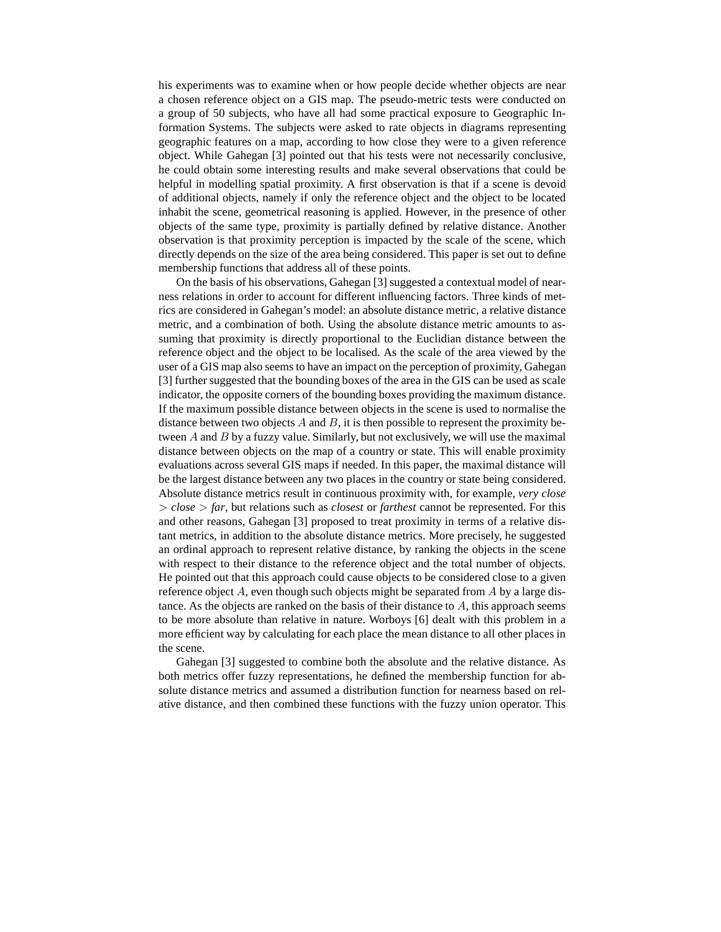his experiments was to examine when or how people decide whether objects are near a chosen reference object on a GIS map. The pseudo-metric tests were conducted on a group of 50 subjects, who have all had some practical exposure to Geographic Information Systems. The subjects were asked to rate objects in diagrams representing geographic features on a map, according to how close they were to a given reference object. While Gahegan [3] pointed out that his tests were not necessarily conclusive, he could obtain some interesting results and make several observations that could be helpful in modelling spatial proximity. A first observation is that if a scene is devoid of additional objects, namely if only the reference object and the object to be located inhabit the scene, geometrical reasoning is applied. However, in the presence of other objects of the same type, proximity is partially defined by relative distance. Another observation is that proximity perception is impacted by the scale of the scene, which directly depends on the size of the area being considered. This paper is set out to define membership functions that address all of these points.

On the basis of his observations, Gahegan [3] suggested a contextual model of nearness relations in order to account for different influencing factors. Three kinds of metrics are considered in Gahegan's model: an absolute distance metric, a relative distance metric, and a combination of both. Using the absolute distance metric amounts to assuming that proximity is directly proportional to the Euclidian distance between the reference object and the object to be localised. As the scale of the area viewed by the user of a GIS map also seems to have an impact on the perception of proximity, Gahegan [3] further suggested that the bounding boxes of the area in the GIS can be used as scale indicator, the opposite corners of the bounding boxes providing the maximum distance. If the maximum possible distance between objects in the scene is used to normalise the distance between two objects  $A$  and  $B$ , it is then possible to represent the proximity between  $A$  and  $B$  by a fuzzy value. Similarly, but not exclusively, we will use the maximal distance between objects on the map of a country or state. This will enable proximity evaluations across several GIS maps if needed. In this paper, the maximal distance will be the largest distance between any two places in the country or state being considered. Absolute distance metrics result in continuous proximity with, for example, *very close* > *close* > *far*, but relations such as *closest* or *farthest* cannot be represented. For this and other reasons, Gahegan [3] proposed to treat proximity in terms of a relative distant metrics, in addition to the absolute distance metrics. More precisely, he suggested an ordinal approach to represent relative distance, by ranking the objects in the scene with respect to their distance to the reference object and the total number of objects. He pointed out that this approach could cause objects to be considered close to a given reference object  $A$ , even though such objects might be separated from  $A$  by a large distance. As the objects are ranked on the basis of their distance to  $A$ , this approach seems to be more absolute than relative in nature. Worboys [6] dealt with this problem in a more efficient way by calculating for each place the mean distance to all other places in the scene.

Gahegan [3] suggested to combine both the absolute and the relative distance. As both metrics offer fuzzy representations, he defined the membership function for absolute distance metrics and assumed a distribution function for nearness based on relative distance, and then combined these functions with the fuzzy union operator. This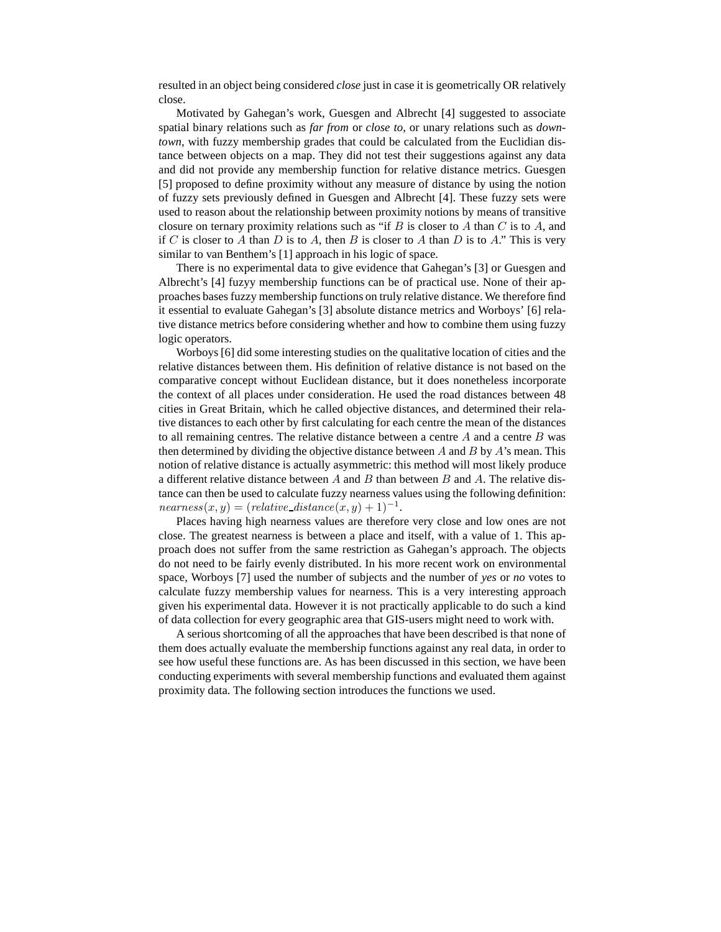resulted in an object being considered *close* just in case it is geometrically OR relatively close.

Motivated by Gahegan's work, Guesgen and Albrecht [4] suggested to associate spatial binary relations such as *far from* or *close to*, or unary relations such as *downtown*, with fuzzy membership grades that could be calculated from the Euclidian distance between objects on a map. They did not test their suggestions against any data and did not provide any membership function for relative distance metrics. Guesgen [5] proposed to define proximity without any measure of distance by using the notion of fuzzy sets previously defined in Guesgen and Albrecht [4]. These fuzzy sets were used to reason about the relationship between proximity notions by means of transitive closure on ternary proximity relations such as "if B is closer to A than C is to A, and if C is closer to A than D is to A, then B is closer to A than D is to A." This is very similar to van Benthem's [1] approach in his logic of space.

There is no experimental data to give evidence that Gahegan's [3] or Guesgen and Albrecht's [4] fuzyy membership functions can be of practical use. None of their approaches bases fuzzy membership functions on truly relative distance. We therefore find it essential to evaluate Gahegan's [3] absolute distance metrics and Worboys' [6] relative distance metrics before considering whether and how to combine them using fuzzy logic operators.

Worboys [6] did some interesting studies on the qualitative location of cities and the relative distances between them. His definition of relative distance is not based on the comparative concept without Euclidean distance, but it does nonetheless incorporate the context of all places under consideration. He used the road distances between 48 cities in Great Britain, which he called objective distances, and determined their relative distances to each other by first calculating for each centre the mean of the distances to all remaining centres. The relative distance between a centre  $A$  and a centre  $B$  was then determined by dividing the objective distance between  $A$  and  $B$  by  $A$ 's mean. This notion of relative distance is actually asymmetric: this method will most likely produce a different relative distance between  $A$  and  $B$  than between  $B$  and  $A$ . The relative distance can then be used to calculate fuzzy nearness values using the following definition:  $\n nearness(x, y) = (relative\_distance(x, y) + 1)^{-1}.$ 

Places having high nearness values are therefore very close and low ones are not close. The greatest nearness is between a place and itself, with a value of 1. This approach does not suffer from the same restriction as Gahegan's approach. The objects do not need to be fairly evenly distributed. In his more recent work on environmental space, Worboys [7] used the number of subjects and the number of *yes* or *no* votes to calculate fuzzy membership values for nearness. This is a very interesting approach given his experimental data. However it is not practically applicable to do such a kind of data collection for every geographic area that GIS-users might need to work with.

A serious shortcoming of all the approaches that have been described is that none of them does actually evaluate the membership functions against any real data, in order to see how useful these functions are. As has been discussed in this section, we have been conducting experiments with several membership functions and evaluated them against proximity data. The following section introduces the functions we used.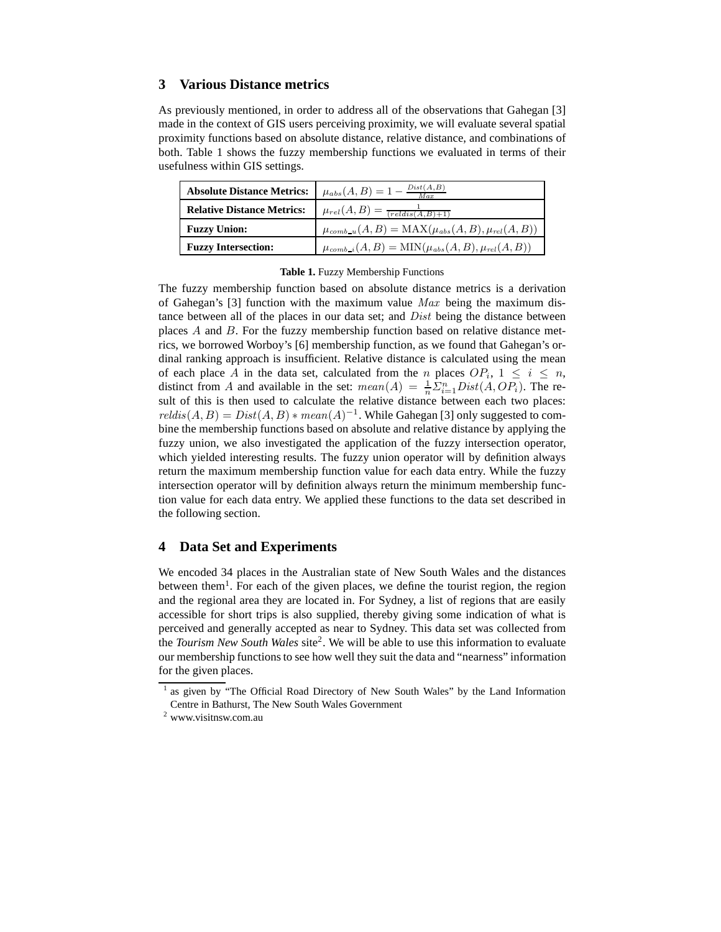# **3 Various Distance metrics**

As previously mentioned, in order to address all of the observations that Gahegan [3] made in the context of GIS users perceiving proximity, we will evaluate several spatial proximity functions based on absolute distance, relative distance, and combinations of both. Table 1 shows the fuzzy membership functions we evaluated in terms of their usefulness within GIS settings.

| <b>Absolute Distance Metrics:</b> | $\mu_{abs}(A, B) = 1 - \frac{Dist(A, B)}{B}$<br>Max           |
|-----------------------------------|---------------------------------------------------------------|
| <b>Relative Distance Metrics:</b> | $\mu_{rel}(A, B) = \frac{1}{\sqrt{reldis(A, B) + 1}}$         |
| <b>Fuzzy Union:</b>               | $\mu_{comb\_u}(A, B) = MAX(\mu_{abs}(A, B), \mu_{rel}(A, B))$ |
| <b>Fuzzy Intersection:</b>        | $\mu_{comb\_i}(A, B) = MIN(\mu_{abs}(A, B), \mu_{rel}(A, B))$ |

**Table 1.** Fuzzy Membership Functions

The fuzzy membership function based on absolute distance metrics is a derivation of Gahegan's [3] function with the maximum value  $Max$  being the maximum distance between all of the places in our data set; and *Dist* being the distance between places A and B. For the fuzzy membership function based on relative distance metrics, we borrowed Worboy's [6] membership function, as we found that Gahegan's ordinal ranking approach is insufficient. Relative distance is calculated using the mean of each place A in the data set, calculated from the n places  $OP_i$ ,  $1 \leq i \leq n$ , distinct from A and available in the set:  $mean(A) = \frac{1}{n} \sum_{i=1}^{n} Dist(A, OP_i)$ . The result of this is then used to calculate the relative distance between each two places:  $reldis(A, B) = Dist(A, B) * mean(A)^{-1}$ . While Gahegan [3] only suggested to combine the membership functions based on absolute and relative distance by applying the fuzzy union, we also investigated the application of the fuzzy intersection operator, which yielded interesting results. The fuzzy union operator will by definition always return the maximum membership function value for each data entry. While the fuzzy intersection operator will by definition always return the minimum membership function value for each data entry. We applied these functions to the data set described in the following section.

## **4 Data Set and Experiments**

We encoded 34 places in the Australian state of New South Wales and the distances between them<sup>1</sup>. For each of the given places, we define the tourist region, the region and the regional area they are located in. For Sydney, a list of regions that are easily accessible for short trips is also supplied, thereby giving some indication of what is perceived and generally accepted as near to Sydney. This data set was collected from the *Tourism New South Wales* site<sup>2</sup>. We will be able to use this information to evaluate our membership functions to see how well they suit the data and "nearness" information for the given places.

<sup>&</sup>lt;sup>1</sup> as given by "The Official Road Directory of New South Wales" by the Land Information Centre in Bathurst, The New South Wales Government

<sup>2</sup> www.visitnsw.com.au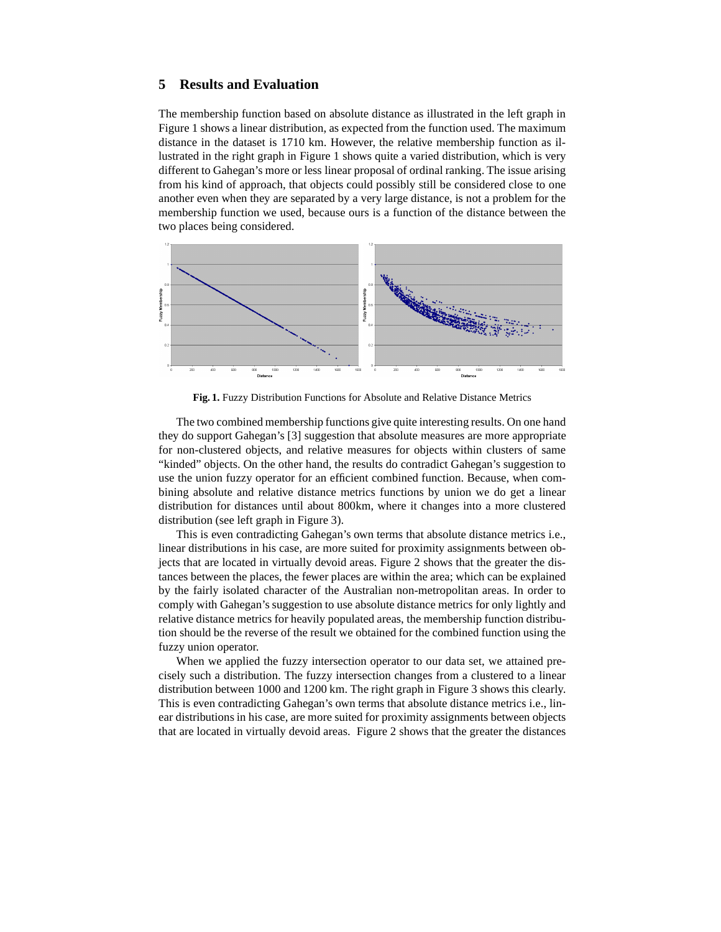## **5 Results and Evaluation**

The membership function based on absolute distance as illustrated in the left graph in Figure 1 shows a linear distribution, as expected from the function used. The maximum distance in the dataset is 1710 km. However, the relative membership function as illustrated in the right graph in Figure 1 shows quite a varied distribution, which is very different to Gahegan's more or less linear proposal of ordinal ranking. The issue arising from his kind of approach, that objects could possibly still be considered close to one another even when they are separated by a very large distance, is not a problem for the membership function we used, because ours is a function of the distance between the two places being considered.



**Fig. 1.** Fuzzy Distribution Functions for Absolute and Relative Distance Metrics

The two combined membership functions give quite interesting results. On one hand they do support Gahegan's [3] suggestion that absolute measures are more appropriate for non-clustered objects, and relative measures for objects within clusters of same "kinded" objects. On the other hand, the results do contradict Gahegan's suggestion to use the union fuzzy operator for an efficient combined function. Because, when combining absolute and relative distance metrics functions by union we do get a linear distribution for distances until about 800km, where it changes into a more clustered distribution (see left graph in Figure 3).

This is even contradicting Gahegan's own terms that absolute distance metrics i.e., linear distributions in his case, are more suited for proximity assignments between objects that are located in virtually devoid areas. Figure 2 shows that the greater the distances between the places, the fewer places are within the area; which can be explained by the fairly isolated character of the Australian non-metropolitan areas. In order to comply with Gahegan's suggestion to use absolute distance metrics for only lightly and relative distance metrics for heavily populated areas, the membership function distribution should be the reverse of the result we obtained for the combined function using the fuzzy union operator.

When we applied the fuzzy intersection operator to our data set, we attained precisely such a distribution. The fuzzy intersection changes from a clustered to a linear distribution between 1000 and 1200 km. The right graph in Figure 3 shows this clearly. This is even contradicting Gahegan's own terms that absolute distance metrics i.e., linear distributions in his case, are more suited for proximity assignments between objects that are located in virtually devoid areas. Figure 2 shows that the greater the distances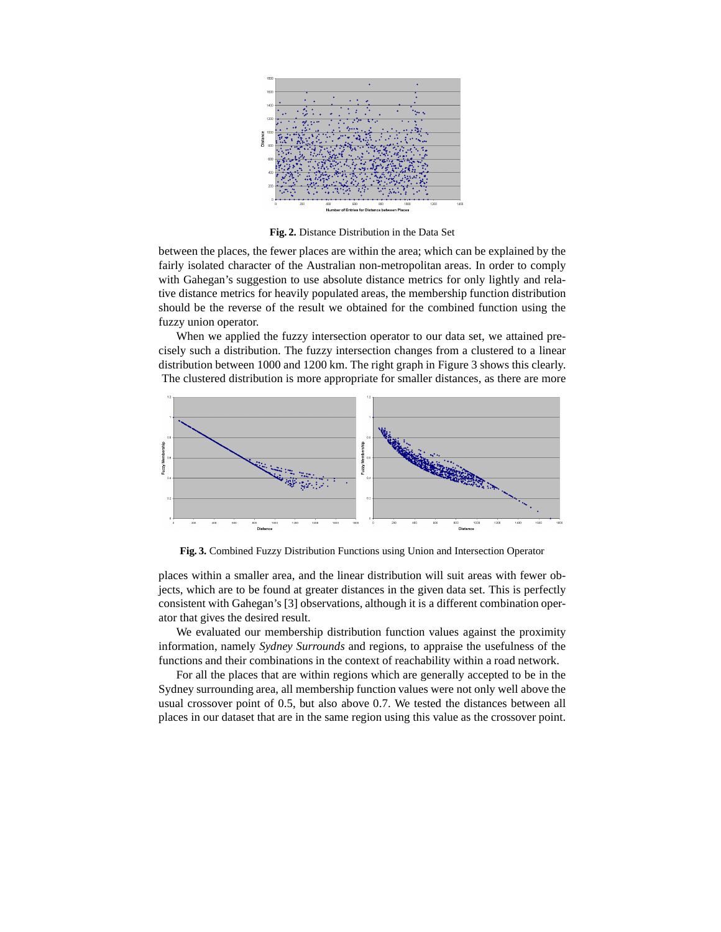

**Fig. 2.** Distance Distribution in the Data Set

between the places, the fewer places are within the area; which can be explained by the fairly isolated character of the Australian non-metropolitan areas. In order to comply with Gahegan's suggestion to use absolute distance metrics for only lightly and relative distance metrics for heavily populated areas, the membership function distribution should be the reverse of the result we obtained for the combined function using the fuzzy union operator.

When we applied the fuzzy intersection operator to our data set, we attained precisely such a distribution. The fuzzy intersection changes from a clustered to a linear distribution between 1000 and 1200 km. The right graph in Figure 3 shows this clearly. The clustered distribution is more appropriate for smaller distances, as there are more



**Fig. 3.** Combined Fuzzy Distribution Functions using Union and Intersection Operator

places within a smaller area, and the linear distribution will suit areas with fewer objects, which are to be found at greater distances in the given data set. This is perfectly consistent with Gahegan's [3] observations, although it is a different combination operator that gives the desired result.

We evaluated our membership distribution function values against the proximity information, namely *Sydney Surrounds* and regions, to appraise the usefulness of the functions and their combinations in the context of reachability within a road network.

For all the places that are within regions which are generally accepted to be in the Sydney surrounding area, all membership function values were not only well above the usual crossover point of 0.5, but also above 0.7. We tested the distances between all places in our dataset that are in the same region using this value as the crossover point.